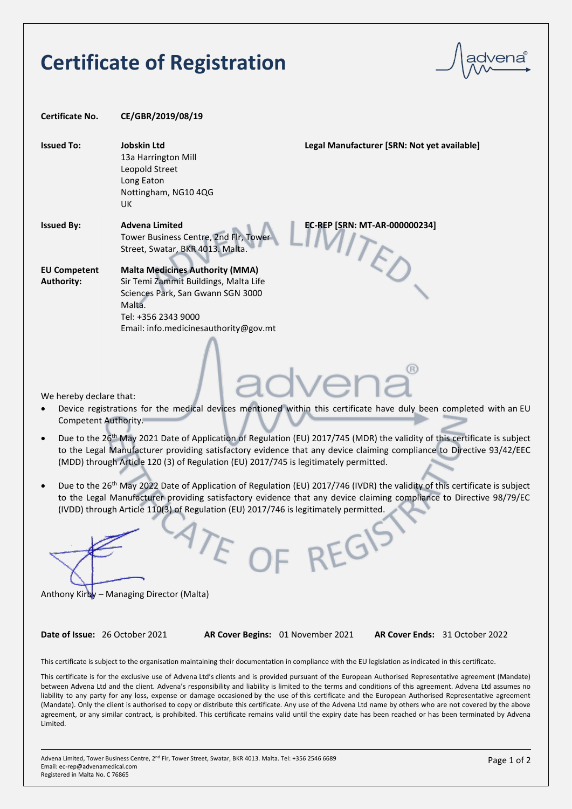# **Certificate of Registration**

| Certificate No.                          | CE/GBR/2019/08/19                                                                                                                                                                              |
|------------------------------------------|------------------------------------------------------------------------------------------------------------------------------------------------------------------------------------------------|
| <b>Issued To:</b>                        | <b>Jobskin Ltd</b><br>Legal Manufacturer [SRN: Not yet available]<br>13a Harrington Mill<br>Leopold Street<br>Long Eaton<br>Nottingham, NG10 4QG<br>UK.                                        |
| <b>Issued By:</b>                        | EC-REP [SRN: MT-AR-000000234]<br><b>Advena Limited</b><br>Tower Business Centre, 2nd Flr, Tower<br>Street, Swatar, BKR 4013. Malta.                                                            |
| <b>EU Competent</b><br><b>Authority:</b> | <b>Malta Medicines Authority (MMA)</b><br>Sir Temi Zammit Buildings, Malta Life<br>Sciences Park, San Gwann SGN 3000<br>Malta.<br>Tel: +356 2343 9000<br>Email: info.medicinesauthority@gov.mt |

We hereby declare that:

- Device registrations for the medical devices mentioned within this certificate have duly been completed with an EU Competent Authority.
- Due to the 26th May 2021 Date of Application of Regulation (EU) 2017/745 (MDR) the validity of this certificate is subject to the Legal Manufacturer providing satisfactory evidence that any device claiming compliance to Directive 93/42/EEC (MDD) through Article 120 (3) of Regulation (EU) 2017/745 is legitimately permitted.
- Due to the 26th May 2022 Date of Application of Regulation (EU) 2017/746 (IVDR) the validity of this certificate is subject to the Legal Manufacturer providing satisfactory evidence that any device claiming compliance to Directive 98/79/EC (IVDD) through Article 110(3) of Regulation (EU) 2017/746 is legitimately permitted.

F OF REGIS

Anthony Kirby – Managing Director (Malta)

**Date of Issue:** 26 October 2021 **AR Cover Begins:** 01 November 2021 **AR Cover Ends:** 31 October 2022

This certificate is subject to the organisation maintaining their documentation in compliance with the EU legislation as indicated in this certificate.

This certificate is for the exclusive use of Advena Ltd's clients and is provided pursuant of the European Authorised Representative agreement (Mandate) between Advena Ltd and the client. Advena's responsibility and liability is limited to the terms and conditions of this agreement. Advena Ltd assumes no liability to any party for any loss, expense or damage occasioned by the use of this certificate and the European Authorised Representative agreement (Mandate). Only the client is authorised to copy or distribute this certificate. Any use of the Advena Ltd name by others who are not covered by the above agreement, or any similar contract, is prohibited. This certificate remains valid until the expiry date has been reached or has been terminated by Advena Limited.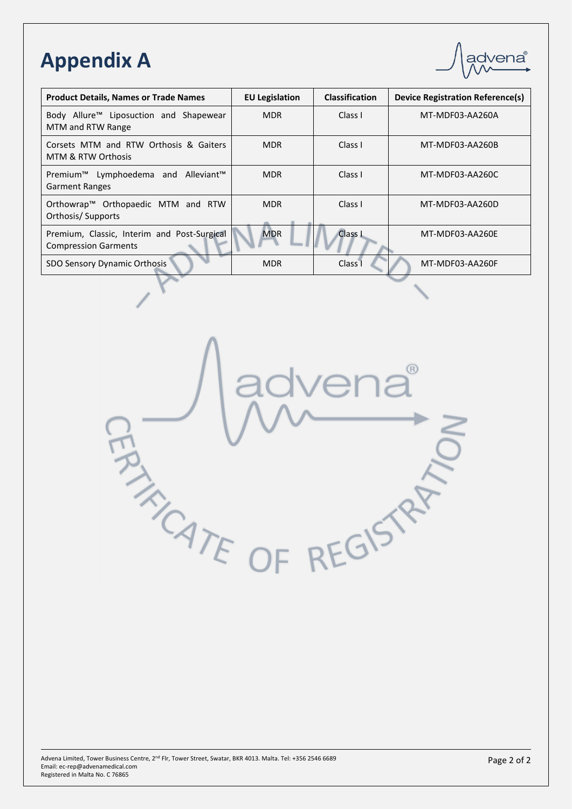# **Appendix A**

| advena <sup>®</sup> |
|---------------------|
|                     |
|                     |

| <b>Product Details, Names or Trade Names</b>                                         | <b>EU Legislation</b> | <b>Classification</b> | <b>Device Registration Reference(s)</b> |
|--------------------------------------------------------------------------------------|-----------------------|-----------------------|-----------------------------------------|
| Body Allure <sup>™</sup> Liposuction and Shapewear<br>MTM and RTW Range              | <b>MDR</b>            | Class I               | MT-MDF03-AA260A                         |
| Corsets MTM and RTW Orthosis & Gaiters<br>MTM & RTW Orthosis                         | <b>MDR</b>            | Class I               | MT-MDF03-AA260B                         |
| Premium <sup>™</sup> Lymphoedema and Alleviant <sup>™</sup><br><b>Garment Ranges</b> | <b>MDR</b>            | Class I               | MT-MDF03-AA260C                         |
| Orthowrap™ Orthopaedic MTM and RTW<br>Orthosis/Supports                              | <b>MDR</b>            | Class I               | MT-MDF03-AA260D                         |
| Premium, Classic, Interim and Post-Surgical<br><b>Compression Garments</b>           | <b>MDR</b>            | Class I               | MT-MDF03-AA260E                         |
| SDO Sensory Dynamic Orthosis                                                         | <b>MDR</b>            | Class <sub>1</sub>    | MT-MDF03-AA260F                         |

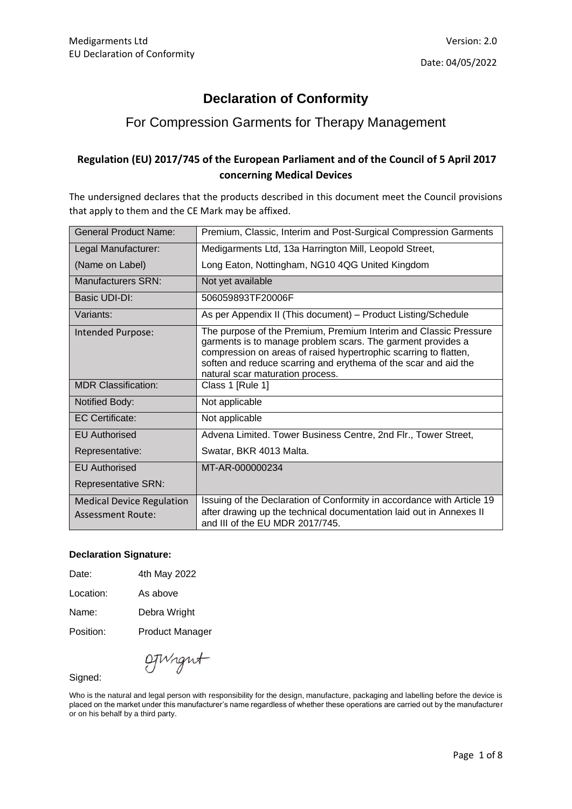### **Declaration of Conformity**

### For Compression Garments for Therapy Management

#### **Regulation (EU) 2017/745 of the European Parliament and of the Council of 5 April 2017 concerning Medical Devices**

The undersigned declares that the products described in this document meet the Council provisions that apply to them and the CE Mark may be affixed.

| General Product Name:                                        | Premium, Classic, Interim and Post-Surgical Compression Garments                                                                                                                                                                                                                                           |
|--------------------------------------------------------------|------------------------------------------------------------------------------------------------------------------------------------------------------------------------------------------------------------------------------------------------------------------------------------------------------------|
| Legal Manufacturer:                                          | Medigarments Ltd, 13a Harrington Mill, Leopold Street,                                                                                                                                                                                                                                                     |
| (Name on Label)                                              | Long Eaton, Nottingham, NG10 4QG United Kingdom                                                                                                                                                                                                                                                            |
| Manufacturers SRN:                                           | Not yet available                                                                                                                                                                                                                                                                                          |
| Basic UDI-DI:                                                | 506059893TF20006F                                                                                                                                                                                                                                                                                          |
| Variants:                                                    | As per Appendix II (This document) - Product Listing/Schedule                                                                                                                                                                                                                                              |
| Intended Purpose:                                            | The purpose of the Premium, Premium Interim and Classic Pressure<br>garments is to manage problem scars. The garment provides a<br>compression on areas of raised hypertrophic scarring to flatten,<br>soften and reduce scarring and erythema of the scar and aid the<br>natural scar maturation process. |
| <b>MDR Classification:</b>                                   | Class 1 [Rule 1]                                                                                                                                                                                                                                                                                           |
| Notified Body:                                               | Not applicable                                                                                                                                                                                                                                                                                             |
| <b>EC Certificate:</b>                                       | Not applicable                                                                                                                                                                                                                                                                                             |
| <b>EU Authorised</b>                                         | Advena Limited. Tower Business Centre, 2nd Flr., Tower Street,                                                                                                                                                                                                                                             |
| Representative:                                              | Swatar, BKR 4013 Malta.                                                                                                                                                                                                                                                                                    |
| <b>EU Authorised</b>                                         | MT-AR-000000234                                                                                                                                                                                                                                                                                            |
| <b>Representative SRN:</b>                                   |                                                                                                                                                                                                                                                                                                            |
| <b>Medical Device Regulation</b><br><b>Assessment Route:</b> | Issuing of the Declaration of Conformity in accordance with Article 19<br>after drawing up the technical documentation laid out in Annexes II<br>and III of the EU MDR 2017/745.                                                                                                                           |

#### **Declaration Signature:**

| Date: |              |  |
|-------|--------------|--|
|       | 4th May 2022 |  |

Location: As above

Name: Debra Wright

Position: Product Manager

OTWight

Signed:

Who is the natural and legal person with responsibility for the design, manufacture, packaging and labelling before the device is placed on the market under this manufacturer's name regardless of whether these operations are carried out by the manufacturer or on his behalf by a third party.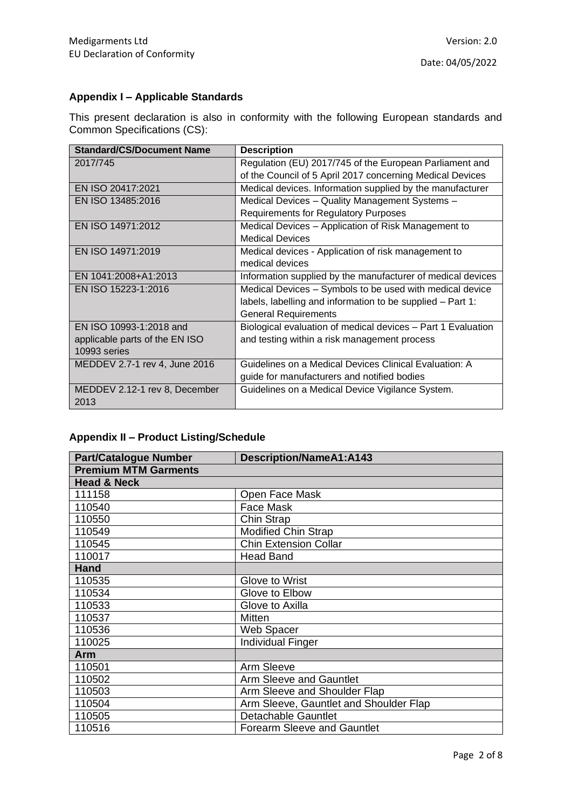### **Appendix I – Applicable Standards**

This present declaration is also in conformity with the following European standards and Common Specifications (CS):

| <b>Standard/CS/Document Name</b> | <b>Description</b>                                           |
|----------------------------------|--------------------------------------------------------------|
| 2017/745                         | Regulation (EU) 2017/745 of the European Parliament and      |
|                                  | of the Council of 5 April 2017 concerning Medical Devices    |
| EN ISO 20417:2021                | Medical devices. Information supplied by the manufacturer    |
| EN ISO 13485:2016                | Medical Devices - Quality Management Systems -               |
|                                  | <b>Requirements for Regulatory Purposes</b>                  |
| EN ISO 14971:2012                | Medical Devices – Application of Risk Management to          |
|                                  | <b>Medical Devices</b>                                       |
| EN ISO 14971:2019                | Medical devices - Application of risk management to          |
|                                  | medical devices                                              |
| EN 1041:2008+A1:2013             | Information supplied by the manufacturer of medical devices  |
| EN ISO 15223-1:2016              | Medical Devices - Symbols to be used with medical device     |
|                                  | labels, labelling and information to be supplied - Part 1:   |
|                                  | <b>General Requirements</b>                                  |
| EN ISO 10993-1:2018 and          | Biological evaluation of medical devices - Part 1 Evaluation |
| applicable parts of the EN ISO   | and testing within a risk management process                 |
| 10993 series                     |                                                              |
| MEDDEV 2.7-1 rev 4, June 2016    | Guidelines on a Medical Devices Clinical Evaluation: A       |
|                                  | guide for manufacturers and notified bodies                  |
| MEDDEV 2.12-1 rev 8, December    | Guidelines on a Medical Device Vigilance System.             |
| 2013                             |                                                              |

### **Appendix II – Product Listing/Schedule**

| <b>Part/Catalogue Number</b> | <b>Description/NameA1:A143</b>         |
|------------------------------|----------------------------------------|
| <b>Premium MTM Garments</b>  |                                        |
| <b>Head &amp; Neck</b>       |                                        |
| 111158                       | Open Face Mask                         |
| 110540                       | Face Mask                              |
| 110550                       | Chin Strap                             |
| 110549                       | <b>Modified Chin Strap</b>             |
| 110545                       | <b>Chin Extension Collar</b>           |
| 110017                       | <b>Head Band</b>                       |
| <b>Hand</b>                  |                                        |
| 110535                       | Glove to Wrist                         |
| 110534                       | Glove to Elbow                         |
| 110533                       | Glove to Axilla                        |
| 110537                       | <b>Mitten</b>                          |
| 110536                       | Web Spacer                             |
| 110025                       | <b>Individual Finger</b>               |
| Arm                          |                                        |
| 110501                       | Arm Sleeve                             |
| 110502                       | Arm Sleeve and Gauntlet                |
| 110503                       | Arm Sleeve and Shoulder Flap           |
| 110504                       | Arm Sleeve, Gauntlet and Shoulder Flap |
| 110505                       | <b>Detachable Gauntlet</b>             |
| 110516                       | <b>Forearm Sleeve and Gauntlet</b>     |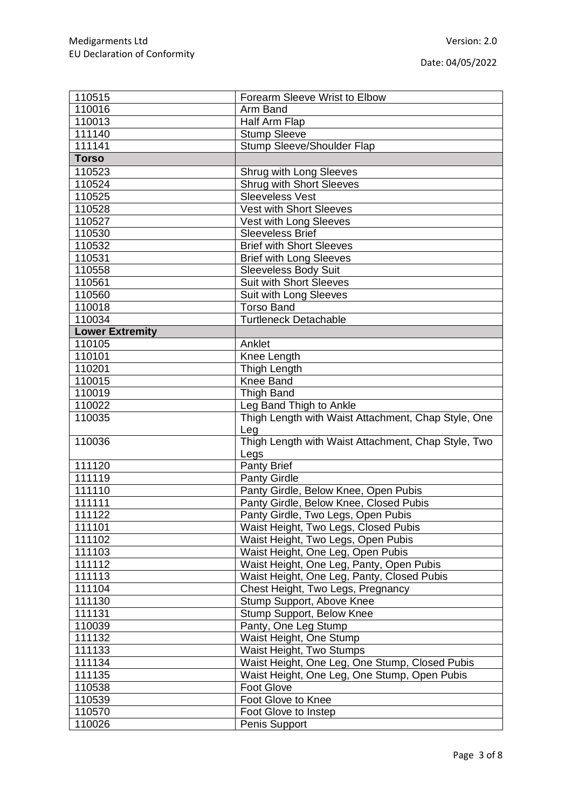| 110515                 | Forearm Sleeve Wrist to Elbow                       |
|------------------------|-----------------------------------------------------|
| 110016                 | Arm Band                                            |
| 110013                 | Half Arm Flap                                       |
| 111140                 | <b>Stump Sleeve</b>                                 |
| 111141                 | <b>Stump Sleeve/Shoulder Flap</b>                   |
| <b>Torso</b>           |                                                     |
| 110523                 | Shrug with Long Sleeves                             |
| 110524                 | <b>Shrug with Short Sleeves</b>                     |
| 110525                 | <b>Sleeveless Vest</b>                              |
| 110528                 | <b>Vest with Short Sleeves</b>                      |
| 110527                 | Vest with Long Sleeves                              |
| 110530                 | <b>Sleeveless Brief</b>                             |
| 110532                 | <b>Brief with Short Sleeves</b>                     |
| 110531                 | <b>Brief with Long Sleeves</b>                      |
| 110558                 | <b>Sleeveless Body Suit</b>                         |
| 110561                 | <b>Suit with Short Sleeves</b>                      |
| 110560                 | Suit with Long Sleeves                              |
| 110018                 | <b>Torso Band</b>                                   |
| 110034                 | <b>Turtleneck Detachable</b>                        |
| <b>Lower Extremity</b> |                                                     |
| 110105                 | Anklet                                              |
| 110101                 | Knee Length                                         |
| 110201                 | Thigh Length                                        |
| 110015                 | Knee Band                                           |
| 110019                 | <b>Thigh Band</b>                                   |
| 110022                 | Leg Band Thigh to Ankle                             |
| 110035                 | Thigh Length with Waist Attachment, Chap Style, One |
|                        | Leg                                                 |
| 110036                 | Thigh Length with Waist Attachment, Chap Style, Two |
|                        | Legs                                                |
| 111120                 | <b>Panty Brief</b>                                  |
| 111119                 | <b>Panty Girdle</b>                                 |
| 111110                 | Panty Girdle, Below Knee, Open Pubis                |
| 111111                 | Panty Girdle, Below Knee, Closed Pubis              |
| 111122                 | Panty Girdle, Two Legs, Open Pubis                  |
| 111101                 | Waist Height, Two Legs, Closed Pubis                |
| 111102                 | Waist Height, Two Legs, Open Pubis                  |
| 111103                 | Waist Height, One Leg, Open Pubis                   |
| 111112                 | Waist Height, One Leg, Panty, Open Pubis            |
| 111113                 | Waist Height, One Leg, Panty, Closed Pubis          |
| 111104                 | Chest Height, Two Legs, Pregnancy                   |
| 111130                 | Stump Support, Above Knee                           |
| 111131                 | Stump Support, Below Knee                           |
| 110039                 | Panty, One Leg Stump                                |
| 111132                 | Waist Height, One Stump                             |
| 111133                 | Waist Height, Two Stumps                            |
| 111134                 | Waist Height, One Leg, One Stump, Closed Pubis      |
| 111135                 | Waist Height, One Leg, One Stump, Open Pubis        |
| 110538                 | <b>Foot Glove</b>                                   |
| 110539                 | Foot Glove to Knee                                  |
| 110570                 | Foot Glove to Instep                                |
| 110026                 | Penis Support                                       |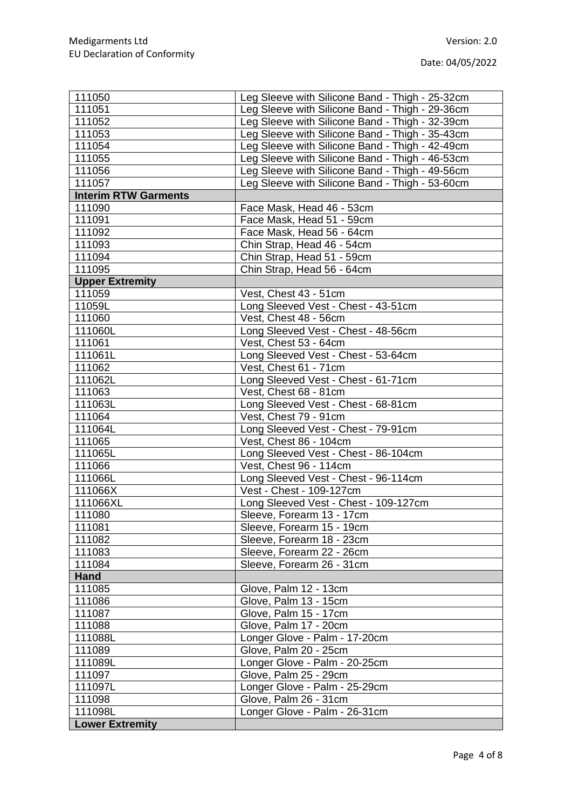| 111050                      | Leg Sleeve with Silicone Band - Thigh - 25-32cm |
|-----------------------------|-------------------------------------------------|
| 111051                      | Leg Sleeve with Silicone Band - Thigh - 29-36cm |
| 111052                      | Leg Sleeve with Silicone Band - Thigh - 32-39cm |
| 111053                      | Leg Sleeve with Silicone Band - Thigh - 35-43cm |
| 111054                      | Leg Sleeve with Silicone Band - Thigh - 42-49cm |
| 111055                      | Leg Sleeve with Silicone Band - Thigh - 46-53cm |
| 111056                      | Leg Sleeve with Silicone Band - Thigh - 49-56cm |
| 111057                      | Leg Sleeve with Silicone Band - Thigh - 53-60cm |
| <b>Interim RTW Garments</b> |                                                 |
| 111090                      | Face Mask, Head 46 - 53cm                       |
| 111091                      | Face Mask, Head 51 - 59cm                       |
| 111092                      | Face Mask, Head 56 - 64cm                       |
| 111093                      | Chin Strap, Head 46 - 54cm                      |
| 111094                      | Chin Strap, Head 51 - 59cm                      |
| 111095                      | Chin Strap, Head 56 - 64cm                      |
| <b>Upper Extremity</b>      |                                                 |
| 111059                      | Vest, Chest 43 - 51cm                           |
| 11059L                      | Long Sleeved Vest - Chest - 43-51cm             |
| 111060                      | Vest, Chest 48 - 56cm                           |
| 111060L                     | Long Sleeved Vest - Chest - 48-56cm             |
| 111061                      | Vest, Chest 53 - 64cm                           |
| 111061L                     | Long Sleeved Vest - Chest - 53-64cm             |
| 111062                      | Vest, Chest 61 - 71cm                           |
| 111062L                     | Long Sleeved Vest - Chest - 61-71cm             |
| 111063                      | Vest, Chest 68 - 81cm                           |
| 111063L                     | Long Sleeved Vest - Chest - 68-81cm             |
| 111064                      | Vest, Chest 79 - 91cm                           |
| 111064L                     | Long Sleeved Vest - Chest - 79-91cm             |
| 111065                      | Vest, Chest 86 - 104cm                          |
| 111065L                     | Long Sleeved Vest - Chest - 86-104cm            |
| 111066                      | Vest, Chest 96 - 114cm                          |
| 111066L                     | Long Sleeved Vest - Chest - 96-114cm            |
| 111066X                     | Vest - Chest - 109-127cm                        |
| 111066XL                    | Long Sleeved Vest - Chest - 109-127cm           |
| 111080                      | Sleeve, Forearm 13 - 17cm                       |
| 111081                      | Sleeve, Forearm 15 - 19cm                       |
| 111082                      | Sleeve, Forearm 18 - 23cm                       |
| 111083                      | Sleeve, Forearm 22 - 26cm                       |
| 111084                      | Sleeve, Forearm 26 - 31cm                       |
| <b>Hand</b>                 |                                                 |
| 111085                      | Glove, Palm 12 - 13cm                           |
| 111086                      | Glove, Palm 13 - 15cm                           |
| 111087                      | Glove, Palm 15 - 17cm                           |
| 111088                      | Glove, Palm 17 - 20cm                           |
| 111088L                     | Longer Glove - Palm - 17-20cm                   |
| 111089                      | Glove, Palm 20 - 25cm                           |
| 111089L                     | Longer Glove - Palm - 20-25cm                   |
| 111097                      | Glove, Palm 25 - 29cm                           |
| 111097L                     | Longer Glove - Palm - 25-29cm                   |
| 111098                      | Glove, Palm 26 - 31cm                           |
| 111098L                     | Longer Glove - Palm - 26-31cm                   |
| <b>Lower Extremity</b>      |                                                 |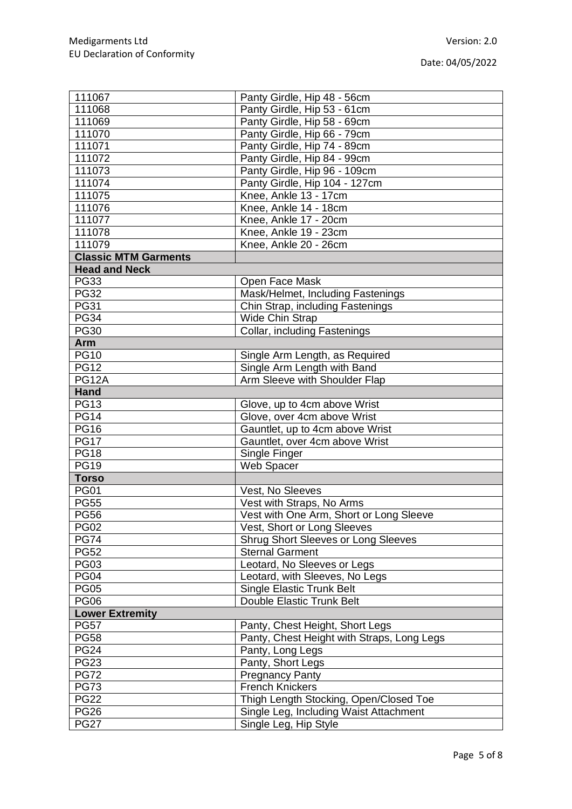| 111067                      | Panty Girdle, Hip 48 - 56cm                |
|-----------------------------|--------------------------------------------|
| 111068                      | Panty Girdle, Hip 53 - 61cm                |
| 111069                      | Panty Girdle, Hip 58 - 69cm                |
| 111070                      | Panty Girdle, Hip 66 - 79cm                |
| 111071                      | Panty Girdle, Hip 74 - 89cm                |
| 111072                      | Panty Girdle, Hip 84 - 99cm                |
| 111073                      | Panty Girdle, Hip 96 - 109cm               |
| 111074                      | Panty Girdle, Hip 104 - 127cm              |
| 111075                      | Knee, Ankle 13 - 17cm                      |
| 111076                      | Knee, Ankle 14 - 18cm                      |
| 111077                      | Knee, Ankle 17 - 20cm                      |
| 111078                      | Knee, Ankle 19 - 23cm                      |
| 111079                      | Knee, Ankle 20 - 26cm                      |
| <b>Classic MTM Garments</b> |                                            |
| <b>Head and Neck</b>        |                                            |
| <b>PG33</b>                 | Open Face Mask                             |
| <b>PG32</b>                 | Mask/Helmet, Including Fastenings          |
| <b>PG31</b>                 | Chin Strap, including Fastenings           |
| <b>PG34</b>                 | <b>Wide Chin Strap</b>                     |
| <b>PG30</b>                 | Collar, including Fastenings               |
| Arm                         |                                            |
| <b>PG10</b>                 | Single Arm Length, as Required             |
| <b>PG12</b>                 | Single Arm Length with Band                |
| <b>PG12A</b>                | Arm Sleeve with Shoulder Flap              |
| <b>Hand</b>                 |                                            |
| <b>PG13</b>                 | Glove, up to 4cm above Wrist               |
| <b>PG14</b>                 | Glove, over 4cm above Wrist                |
| <b>PG16</b>                 | Gauntlet, up to 4cm above Wrist            |
| <b>PG17</b>                 | Gauntlet, over 4cm above Wrist             |
| <b>PG18</b>                 | Single Finger                              |
| <b>PG19</b>                 | Web Spacer                                 |
| <b>Torso</b>                |                                            |
| <b>PG01</b>                 | Vest, No Sleeves                           |
| <b>PG55</b>                 | Vest with Straps, No Arms                  |
| <b>PG56</b>                 | Vest with One Arm, Short or Long Sleeve    |
| <b>PG02</b>                 | Vest, Short or Long Sleeves                |
| <b>PG74</b>                 | <b>Shrug Short Sleeves or Long Sleeves</b> |
| <b>PG52</b>                 | <b>Sternal Garment</b>                     |
| <b>PG03</b>                 | Leotard, No Sleeves or Legs                |
| <b>PG04</b>                 | Leotard, with Sleeves, No Legs             |
| <b>PG05</b>                 | Single Elastic Trunk Belt                  |
| <b>PG06</b>                 | Double Elastic Trunk Belt                  |
| <b>Lower Extremity</b>      |                                            |
| <b>PG57</b>                 | Panty, Chest Height, Short Legs            |
| <b>PG58</b>                 | Panty, Chest Height with Straps, Long Legs |
| <b>PG24</b>                 | Panty, Long Legs                           |
| <b>PG23</b>                 | Panty, Short Legs                          |
| <b>PG72</b>                 | <b>Pregnancy Panty</b>                     |
| <b>PG73</b>                 | <b>French Knickers</b>                     |
| <b>PG22</b>                 | Thigh Length Stocking, Open/Closed Toe     |
| <b>PG26</b>                 | Single Leg, Including Waist Attachment     |
| <b>PG27</b>                 | Single Leg, Hip Style                      |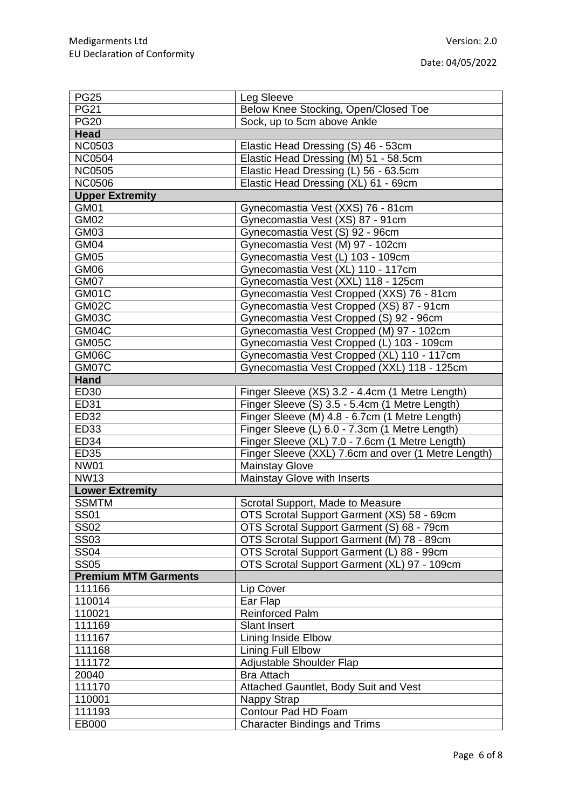| <b>PG25</b>                 | Leg Sleeve                                          |
|-----------------------------|-----------------------------------------------------|
| <b>PG21</b>                 | Below Knee Stocking, Open/Closed Toe                |
| <b>PG20</b>                 | Sock, up to 5cm above Ankle                         |
| <b>Head</b>                 |                                                     |
| <b>NC0503</b>               | Elastic Head Dressing (S) 46 - 53cm                 |
| <b>NC0504</b>               | Elastic Head Dressing (M) 51 - 58.5cm               |
| <b>NC0505</b>               | Elastic Head Dressing (L) 56 - 63.5cm               |
| <b>NC0506</b>               | Elastic Head Dressing (XL) 61 - 69cm                |
| <b>Upper Extremity</b>      |                                                     |
| GM01                        | Gynecomastia Vest (XXS) 76 - 81cm                   |
| <b>GM02</b>                 | Gynecomastia Vest (XS) 87 - 91cm                    |
| GM03                        | Gynecomastia Vest (S) 92 - 96cm                     |
| GM04                        | Gynecomastia Vest (M) 97 - 102cm                    |
| GM05                        | Gynecomastia Vest (L) 103 - 109cm                   |
| GM06                        | Gynecomastia Vest (XL) 110 - 117cm                  |
| GM07                        | Gynecomastia Vest (XXL) 118 - 125cm                 |
| GM01C                       | Gynecomastia Vest Cropped (XXS) 76 - 81cm           |
| GM02C                       | Gynecomastia Vest Cropped (XS) 87 - 91cm            |
| GM03C                       | Gynecomastia Vest Cropped (S) 92 - 96cm             |
| GM04C                       | Gynecomastia Vest Cropped (M) 97 - 102cm            |
| GM05C                       | Gynecomastia Vest Cropped (L) 103 - 109cm           |
| GM06C                       | Gynecomastia Vest Cropped (XL) 110 - 117cm          |
| GM07C                       | Gynecomastia Vest Cropped (XXL) 118 - 125cm         |
| <b>Hand</b>                 |                                                     |
| ED30                        | Finger Sleeve (XS) 3.2 - 4.4cm (1 Metre Length)     |
| ED31                        | Finger Sleeve (S) 3.5 - 5.4cm (1 Metre Length)      |
| <b>ED32</b>                 | Finger Sleeve (M) 4.8 - 6.7cm (1 Metre Length)      |
| ED33                        | Finger Sleeve (L) 6.0 - 7.3cm (1 Metre Length)      |
| <b>ED34</b>                 | Finger Sleeve (XL) 7.0 - 7.6cm (1 Metre Length)     |
| <b>ED35</b>                 | Finger Sleeve (XXL) 7.6cm and over (1 Metre Length) |
| <b>NW01</b>                 | <b>Mainstay Glove</b>                               |
| <b>NW13</b>                 | Mainstay Glove with Inserts                         |
| <b>Lower Extremity</b>      |                                                     |
| <b>SSMTM</b>                | Scrotal Support, Made to Measure                    |
| <b>SS01</b>                 | OTS Scrotal Support Garment (XS) 58 - 69cm          |
| <b>SS02</b>                 | OTS Scrotal Support Garment (S) 68 - 79cm           |
| <b>SS03</b>                 | OTS Scrotal Support Garment (M) 78 - 89cm           |
| <b>SS04</b>                 | OTS Scrotal Support Garment (L) 88 - 99cm           |
| <b>SS05</b>                 | OTS Scrotal Support Garment (XL) 97 - 109cm         |
| <b>Premium MTM Garments</b> |                                                     |
| 111166                      | Lip Cover                                           |
| 110014                      | Ear Flap                                            |
| 110021                      | <b>Reinforced Palm</b>                              |
| 111169                      | <b>Slant Insert</b>                                 |
| 111167                      | <b>Lining Inside Elbow</b>                          |
| 111168                      | Lining Full Elbow                                   |
| 111172                      | Adjustable Shoulder Flap                            |
| 20040                       | <b>Bra Attach</b>                                   |
| 111170                      | Attached Gauntlet, Body Suit and Vest               |
| 110001                      | Nappy Strap                                         |
| 111193                      | Contour Pad HD Foam                                 |
| EB000                       | <b>Character Bindings and Trims</b>                 |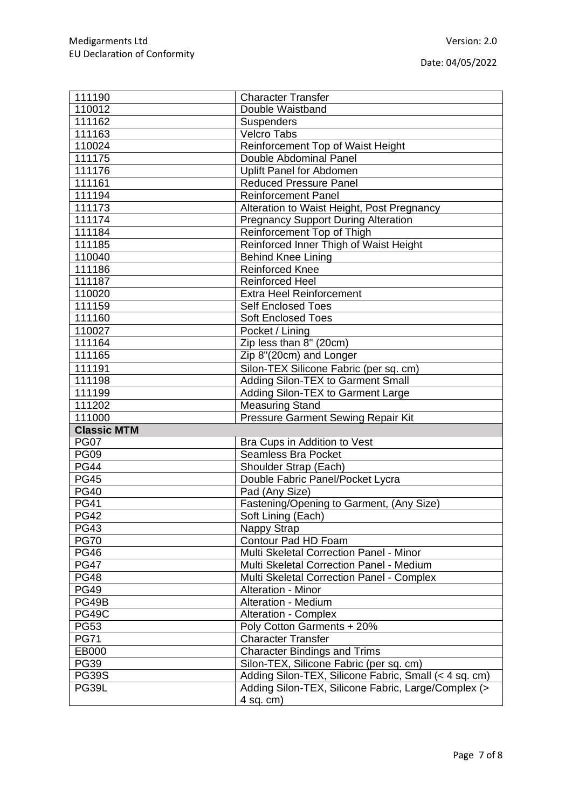| 111190             | <b>Character Transfer</b>                             |
|--------------------|-------------------------------------------------------|
| 110012             | Double Waistband                                      |
| 111162             | Suspenders                                            |
| 111163             | Velcro Tabs                                           |
| 110024             | Reinforcement Top of Waist Height                     |
| 111175             | Double Abdominal Panel                                |
| 111176             | Uplift Panel for Abdomen                              |
| 111161             | <b>Reduced Pressure Panel</b>                         |
| 111194             | <b>Reinforcement Panel</b>                            |
| 111173             | Alteration to Waist Height, Post Pregnancy            |
| 111174             | <b>Pregnancy Support During Alteration</b>            |
| 111184             | Reinforcement Top of Thigh                            |
| 111185             | Reinforced Inner Thigh of Waist Height                |
| 110040             | <b>Behind Knee Lining</b>                             |
| 111186             | <b>Reinforced Knee</b>                                |
| 111187             | <b>Reinforced Heel</b>                                |
| 110020             | <b>Extra Heel Reinforcement</b>                       |
| 111159             | <b>Self Enclosed Toes</b>                             |
| 111160             | <b>Soft Enclosed Toes</b>                             |
| 110027             | Pocket / Lining                                       |
| 111164             | Zip less than 8" (20cm)                               |
| 111165             | Zip 8"(20cm) and Longer                               |
|                    |                                                       |
| 111191             | Silon-TEX Silicone Fabric (per sq. cm)                |
| 111198             | Adding Silon-TEX to Garment Small                     |
| 111199             | Adding Silon-TEX to Garment Large                     |
|                    |                                                       |
| 111202             | <b>Measuring Stand</b>                                |
| 111000             | Pressure Garment Sewing Repair Kit                    |
| <b>Classic MTM</b> |                                                       |
| <b>PG07</b>        | Bra Cups in Addition to Vest                          |
| <b>PG09</b>        | <b>Seamless Bra Pocket</b>                            |
| <b>PG44</b>        | Shoulder Strap (Each)                                 |
| <b>PG45</b>        | Double Fabric Panel/Pocket Lycra                      |
| <b>PG40</b>        | Pad (Any Size)                                        |
| <b>PG41</b>        | Fastening/Opening to Garment, (Any Size)              |
| <b>PG42</b>        | Soft Lining (Each)                                    |
| <b>PG43</b>        | Nappy Strap                                           |
| <b>PG70</b>        | Contour Pad HD Foam                                   |
| <b>PG46</b>        | Multi Skeletal Correction Panel - Minor               |
| <b>PG47</b>        | Multi Skeletal Correction Panel - Medium              |
| <b>PG48</b>        | Multi Skeletal Correction Panel - Complex             |
| <b>PG49</b>        | Alteration - Minor                                    |
| PG49B              | Alteration - Medium                                   |
| <b>PG49C</b>       | <b>Alteration - Complex</b>                           |
| <b>PG53</b>        | Poly Cotton Garments + 20%                            |
| <b>PG71</b>        | <b>Character Transfer</b>                             |
| EB000              | <b>Character Bindings and Trims</b>                   |
| <b>PG39</b>        | Silon-TEX, Silicone Fabric (per sq. cm)               |
| <b>PG39S</b>       | Adding Silon-TEX, Silicone Fabric, Small (< 4 sq. cm) |
| PG39L              | Adding Silon-TEX, Silicone Fabric, Large/Complex (>   |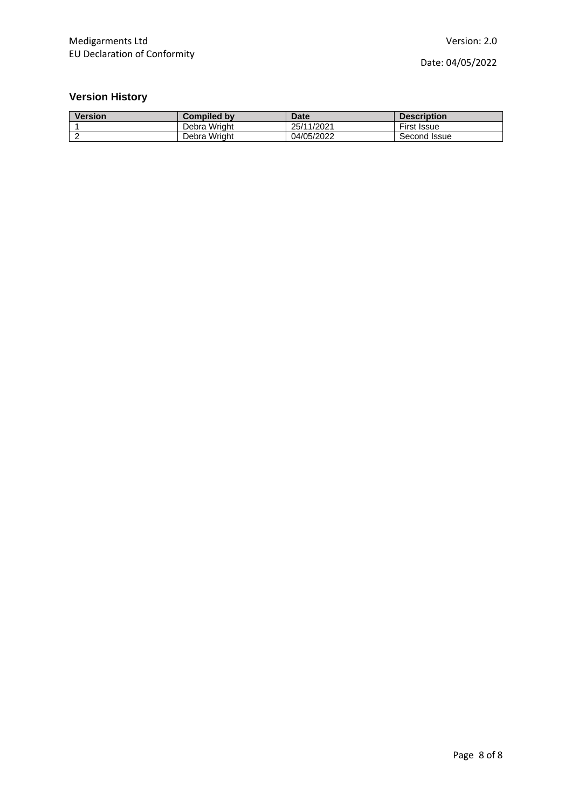## **Version History**

| <b>Version</b> | <b>Compiled by</b> | <b>Date</b> | <b>Description</b> |
|----------------|--------------------|-------------|--------------------|
|                | Debra Wright       | 25/11/2021  | <b>First Issue</b> |
|                | Debra Wright       | 04/05/2022  | Second Issue       |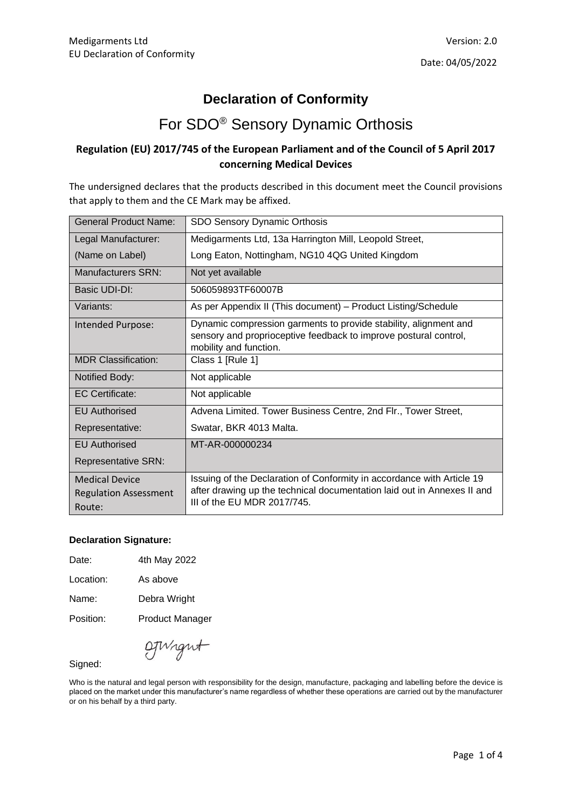### **Declaration of Conformity**

## For SDO® Sensory Dynamic Orthosis

#### **Regulation (EU) 2017/745 of the European Parliament and of the Council of 5 April 2017 concerning Medical Devices**

The undersigned declares that the products described in this document meet the Council provisions that apply to them and the CE Mark may be affixed.

| <b>General Product Name:</b>                                    | SDO Sensory Dynamic Orthosis                                                                                                                                                     |
|-----------------------------------------------------------------|----------------------------------------------------------------------------------------------------------------------------------------------------------------------------------|
| Legal Manufacturer:                                             | Medigarments Ltd, 13a Harrington Mill, Leopold Street,                                                                                                                           |
| (Name on Label)                                                 | Long Eaton, Nottingham, NG10 4QG United Kingdom                                                                                                                                  |
| Manufacturers SRN:                                              | Not yet available                                                                                                                                                                |
| Basic UDI-DI:                                                   | 506059893TF60007B                                                                                                                                                                |
| Variants:                                                       | As per Appendix II (This document) - Product Listing/Schedule                                                                                                                    |
| Intended Purpose:                                               | Dynamic compression garments to provide stability, alignment and<br>sensory and proprioceptive feedback to improve postural control,<br>mobility and function.                   |
| <b>MDR Classification:</b>                                      | Class 1 [Rule 1]                                                                                                                                                                 |
| Notified Body:                                                  | Not applicable                                                                                                                                                                   |
| <b>EC Certificate:</b>                                          | Not applicable                                                                                                                                                                   |
| <b>EU Authorised</b>                                            | Advena Limited. Tower Business Centre, 2nd Flr., Tower Street,                                                                                                                   |
| Representative:                                                 | Swatar, BKR 4013 Malta.                                                                                                                                                          |
| <b>EU</b> Authorised                                            | MT-AR-000000234                                                                                                                                                                  |
| <b>Representative SRN:</b>                                      |                                                                                                                                                                                  |
| <b>Medical Device</b><br><b>Regulation Assessment</b><br>Route: | Issuing of the Declaration of Conformity in accordance with Article 19<br>after drawing up the technical documentation laid out in Annexes II and<br>III of the EU MDR 2017/745. |

#### **Declaration Signature:**

| 4th May 2022 |
|--------------|
|              |

Location: As above

Name: Debra Wright

Position: Product Manager

OTWight

Signed:

Who is the natural and legal person with responsibility for the design, manufacture, packaging and labelling before the device is placed on the market under this manufacturer's name regardless of whether these operations are carried out by the manufacturer or on his behalf by a third party.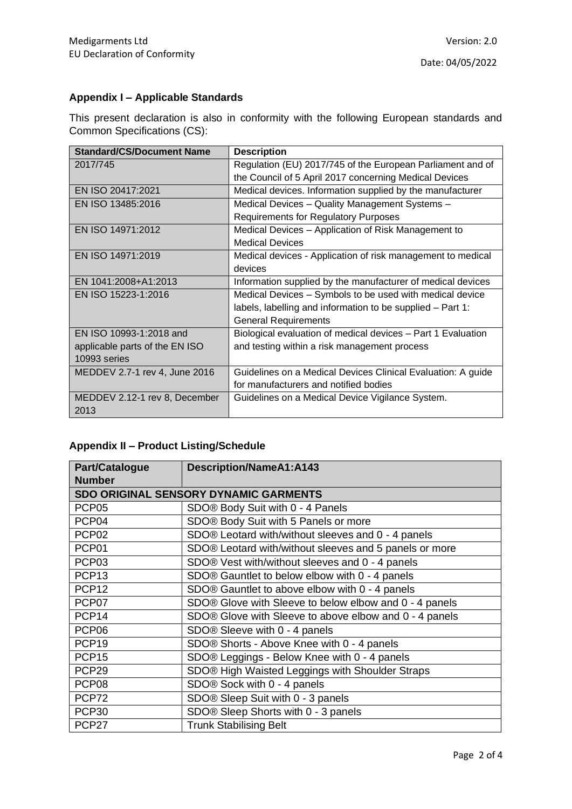### **Appendix I – Applicable Standards**

This present declaration is also in conformity with the following European standards and Common Specifications (CS):

| <b>Standard/CS/Document Name</b> | <b>Description</b>                                           |
|----------------------------------|--------------------------------------------------------------|
| 2017/745                         | Regulation (EU) 2017/745 of the European Parliament and of   |
|                                  | the Council of 5 April 2017 concerning Medical Devices       |
| EN ISO 20417:2021                | Medical devices. Information supplied by the manufacturer    |
| EN ISO 13485:2016                | Medical Devices - Quality Management Systems -               |
|                                  | <b>Requirements for Regulatory Purposes</b>                  |
| EN ISO 14971:2012                | Medical Devices - Application of Risk Management to          |
|                                  | <b>Medical Devices</b>                                       |
| EN ISO 14971:2019                | Medical devices - Application of risk management to medical  |
|                                  | devices                                                      |
| EN 1041:2008+A1:2013             | Information supplied by the manufacturer of medical devices  |
| EN ISO 15223-1:2016              | Medical Devices – Symbols to be used with medical device     |
|                                  | labels, labelling and information to be supplied – Part 1:   |
|                                  | <b>General Requirements</b>                                  |
| EN ISO 10993-1:2018 and          | Biological evaluation of medical devices - Part 1 Evaluation |
| applicable parts of the EN ISO   | and testing within a risk management process                 |
| 10993 series                     |                                                              |
| MEDDEV 2.7-1 rev 4, June 2016    | Guidelines on a Medical Devices Clinical Evaluation: A guide |
|                                  | for manufacturers and notified bodies                        |
| MEDDEV 2.12-1 rev 8, December    | Guidelines on a Medical Device Vigilance System.             |
| 2013                             |                                                              |

#### **Appendix II – Product Listing/Schedule**

| <b>Part/Catalogue</b>                        | <b>Description/NameA1:A143</b>                         |  |
|----------------------------------------------|--------------------------------------------------------|--|
| <b>Number</b>                                |                                                        |  |
| <b>SDO ORIGINAL SENSORY DYNAMIC GARMENTS</b> |                                                        |  |
| PCP <sub>05</sub>                            | SDO® Body Suit with 0 - 4 Panels                       |  |
| PCP04                                        | SDO® Body Suit with 5 Panels or more                   |  |
| PCP <sub>02</sub>                            | SDO® Leotard with/without sleeves and 0 - 4 panels     |  |
| PCP01                                        | SDO® Leotard with/without sleeves and 5 panels or more |  |
| PCP03                                        | SDO® Vest with/without sleeves and 0 - 4 panels        |  |
| PCP <sub>13</sub>                            | SDO® Gauntlet to below elbow with 0 - 4 panels         |  |
| PCP <sub>12</sub>                            | SDO® Gauntlet to above elbow with 0 - 4 panels         |  |
| PCP07                                        | SDO® Glove with Sleeve to below elbow and 0 - 4 panels |  |
| PCP <sub>14</sub>                            | SDO® Glove with Sleeve to above elbow and 0 - 4 panels |  |
| PCP <sub>06</sub>                            | SDO® Sleeve with 0 - 4 panels                          |  |
| PCP <sub>19</sub>                            | SDO® Shorts - Above Knee with 0 - 4 panels             |  |
| PCP <sub>15</sub>                            | SDO® Leggings - Below Knee with 0 - 4 panels           |  |
| PCP <sub>29</sub>                            | SDO® High Waisted Leggings with Shoulder Straps        |  |
| PCP <sub>08</sub>                            | SDO® Sock with 0 - 4 panels                            |  |
| PCP72                                        | SDO® Sleep Suit with 0 - 3 panels                      |  |
| PCP30                                        | SDO® Sleep Shorts with 0 - 3 panels                    |  |
| PCP <sub>27</sub>                            | <b>Trunk Stabilising Belt</b>                          |  |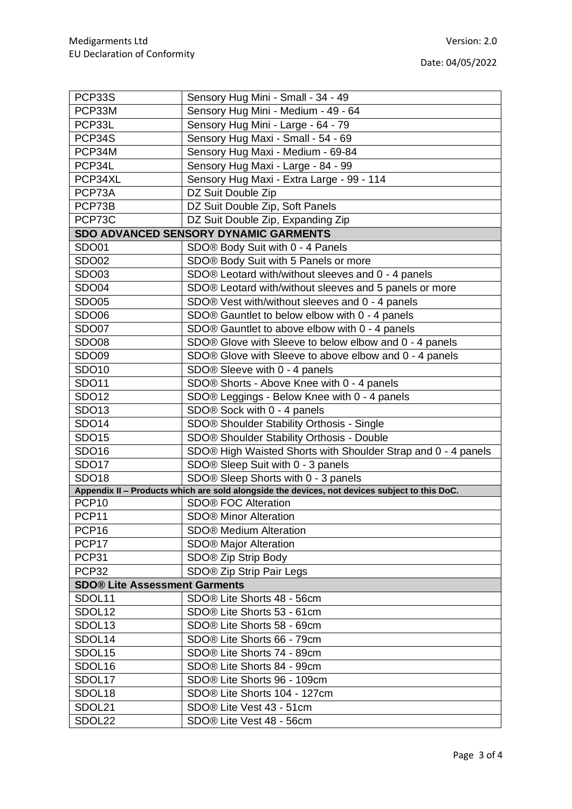| PCP33S                               | Sensory Hug Mini - Small - 34 - 49                                                            |  |  |  |
|--------------------------------------|-----------------------------------------------------------------------------------------------|--|--|--|
| PCP33M                               | Sensory Hug Mini - Medium - 49 - 64                                                           |  |  |  |
| PCP33L                               | Sensory Hug Mini - Large - 64 - 79                                                            |  |  |  |
| PCP34S                               | Sensory Hug Maxi - Small - 54 - 69                                                            |  |  |  |
| PCP34M                               | Sensory Hug Maxi - Medium - 69-84                                                             |  |  |  |
| PCP34L                               | Sensory Hug Maxi - Large - 84 - 99                                                            |  |  |  |
| PCP34XL                              | Sensory Hug Maxi - Extra Large - 99 - 114                                                     |  |  |  |
| PCP73A                               | DZ Suit Double Zip                                                                            |  |  |  |
| PCP73B                               | DZ Suit Double Zip, Soft Panels                                                               |  |  |  |
| PCP73C                               | DZ Suit Double Zip, Expanding Zip                                                             |  |  |  |
|                                      | <b>SDO ADVANCED SENSORY DYNAMIC GARMENTS</b>                                                  |  |  |  |
| <b>SDO01</b>                         | SDO® Body Suit with 0 - 4 Panels                                                              |  |  |  |
| <b>SDO02</b>                         | SDO® Body Suit with 5 Panels or more                                                          |  |  |  |
| SDO03                                | SDO® Leotard with/without sleeves and 0 - 4 panels                                            |  |  |  |
| <b>SDO04</b>                         | SDO® Leotard with/without sleeves and 5 panels or more                                        |  |  |  |
| <b>SDO05</b>                         | SDO® Vest with/without sleeves and 0 - 4 panels                                               |  |  |  |
| <b>SDO06</b>                         | SDO® Gauntlet to below elbow with 0 - 4 panels                                                |  |  |  |
| <b>SDO07</b>                         | SDO® Gauntlet to above elbow with 0 - 4 panels                                                |  |  |  |
| SDO08                                | SDO® Glove with Sleeve to below elbow and 0 - 4 panels                                        |  |  |  |
| SDO09                                | SDO® Glove with Sleeve to above elbow and 0 - 4 panels                                        |  |  |  |
| SDO10                                | SDO® Sleeve with 0 - 4 panels                                                                 |  |  |  |
| SDO11                                | SDO® Shorts - Above Knee with 0 - 4 panels                                                    |  |  |  |
| SDO12                                | SDO® Leggings - Below Knee with 0 - 4 panels                                                  |  |  |  |
| SDO13                                | SDO® Sock with 0 - 4 panels                                                                   |  |  |  |
| SDO14                                | SDO® Shoulder Stability Orthosis - Single                                                     |  |  |  |
| <b>SDO15</b>                         | SDO® Shoulder Stability Orthosis - Double                                                     |  |  |  |
| SDO16                                | SDO® High Waisted Shorts with Shoulder Strap and 0 - 4 panels                                 |  |  |  |
| SDO17                                | SDO® Sleep Suit with 0 - 3 panels                                                             |  |  |  |
| <b>SDO18</b>                         | SDO® Sleep Shorts with 0 - 3 panels                                                           |  |  |  |
|                                      | Appendix II - Products which are sold alongside the devices, not devices subject to this DoC. |  |  |  |
| PCP <sub>10</sub>                    | <b>SDO® FOC Alteration</b>                                                                    |  |  |  |
| PCP11                                | <b>SDO® Minor Alteration</b>                                                                  |  |  |  |
| PCP <sub>16</sub>                    | <b>SDO® Medium Alteration</b>                                                                 |  |  |  |
| PCP17                                | <b>SDO® Major Alteration</b>                                                                  |  |  |  |
| PCP31                                | SDO® Zip Strip Body                                                                           |  |  |  |
| PCP32                                | SDO® Zip Strip Pair Legs                                                                      |  |  |  |
| <b>SDO® Lite Assessment Garments</b> |                                                                                               |  |  |  |
| SDOL11                               | SDO® Lite Shorts 48 - 56cm                                                                    |  |  |  |
| SDOL12                               | SDO® Lite Shorts 53 - 61cm                                                                    |  |  |  |
| SDOL <sub>13</sub>                   | SDO® Lite Shorts 58 - 69cm                                                                    |  |  |  |
| SDOL14                               | SDO® Lite Shorts 66 - 79cm                                                                    |  |  |  |
| SDOL15                               | SDO® Lite Shorts 74 - 89cm                                                                    |  |  |  |
| SDOL16                               | SDO® Lite Shorts 84 - 99cm                                                                    |  |  |  |
| SDOL17                               | SDO® Lite Shorts 96 - 109cm                                                                   |  |  |  |
| SDOL18                               | SDO® Lite Shorts 104 - 127cm                                                                  |  |  |  |
| SDOL21                               | SDO® Lite Vest 43 - 51cm                                                                      |  |  |  |
| SDOL22                               | SDO® Lite Vest 48 - 56cm                                                                      |  |  |  |